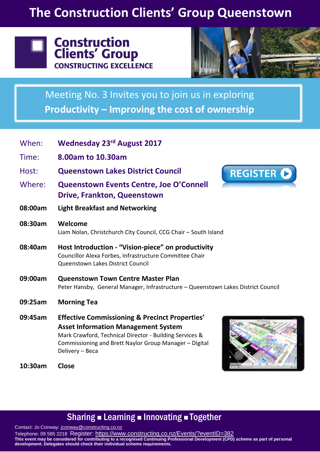# **The Construction Clients' Group Queenstown**



## **Construction Clients' Group CONSTRUCTING EXCELLENCE**



Meeting No. 3 Invites you to join us in exploring **Productivity – Improving the cost of ownership**

| When:   | <b>Wednesday 23rd August 2017</b>                                                                                                                                                                                            |
|---------|------------------------------------------------------------------------------------------------------------------------------------------------------------------------------------------------------------------------------|
| Time:   | 8.00am to 10.30am                                                                                                                                                                                                            |
| Host:   | <b>Queenstown Lakes District Council</b><br><b>REGISTER O</b>                                                                                                                                                                |
| Where:  | <b>Queenstown Events Centre, Joe O'Connell</b><br><b>Drive, Frankton, Queenstown</b>                                                                                                                                         |
| 08:00am | <b>Light Breakfast and Networking</b>                                                                                                                                                                                        |
| 08:30am | Welcome<br>Liam Nolan, Christchurch City Council, CCG Chair - South Island                                                                                                                                                   |
| 08:40am | Host Introduction - "Vision-piece" on productivity<br>Councillor Alexa Forbes, Infrastructure Committee Chair<br>Queenstown Lakes District Council                                                                           |
| 09:00am | <b>Queenstown Town Centre Master Plan</b><br>Peter Hansby, General Manager, Infrastructure - Queenstown Lakes District Council                                                                                               |
| 09:25am | <b>Morning Tea</b>                                                                                                                                                                                                           |
| 09:45am | <b>Effective Commissioning &amp; Precinct Properties'</b><br><b>Asset Information Management System</b><br>Mark Crawford, Technical Director - Building Services &<br>Commissioning and Brett Naylor Group Manager - Digital |

**10:30am Close** 

Delivery – Beca



### Sharing **Example 2 Innovating Example 1** Together

Contact: Jo Conway: [jconway@constructing.co.nz](mailto:jconway@constructing.co.nz) Telephone: 09 585 2218 Register: <u>https://www.constructing.co.nz/Events/?eventID=382</u> **This event may be considered for contributing to a recognised Continuing Professional Development (CPD) scheme as part of personal development. Delegates should check their individual scheme requirements.**